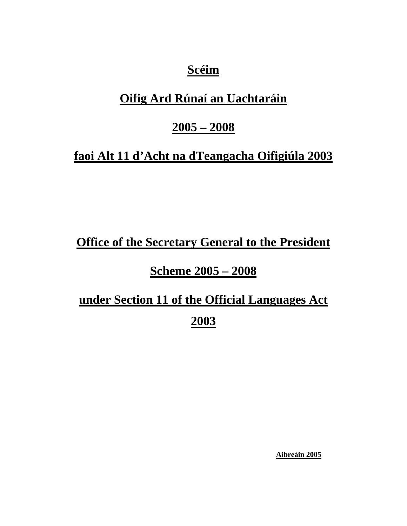# **Scéim**

# **Oifig Ard Rúnaí an Uachtaráin**

# **2005 – 2008**

# **faoi Alt 11 d'Acht na dTeangacha Oifigiúla 2003**

# **Office of the Secretary General to the President**

# **Scheme 2005 – 2008**

# **under Section 11 of the Official Languages Act 2003**

**Aibreáin 2005**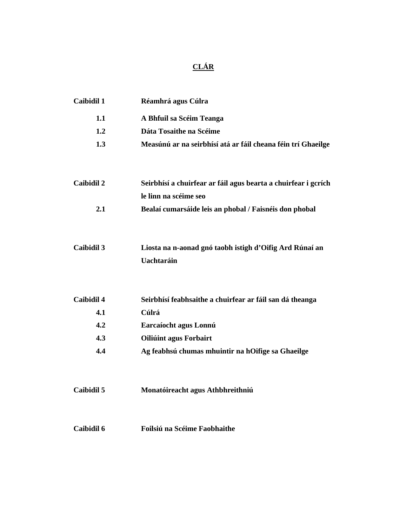# **CLÁR**

| Caibidil 1        | Réamhrá agus Cúlra                                                           |
|-------------------|------------------------------------------------------------------------------|
| 1.1               | A Bhfuil sa Scéim Teanga                                                     |
| 1.2               | Dáta Tosaithe na Scéime                                                      |
| 1.3               | Measúnú ar na seirbhísí atá ar fáil cheana féin trí Ghaeilge                 |
| <b>Caibidil 2</b> | Seirbhísí a chuirfear ar fáil agus bearta a chuirfear i gcrích               |
|                   | le linn na scéime seo                                                        |
| 2.1               | Bealaí cumarsáide leis an phobal / Faisnéis don phobal                       |
| Caibidil 3        |                                                                              |
|                   | Liosta na n-aonad gnó taobh istigh d'Oifig Ard Rúnaí an<br><b>Uachtaráin</b> |
|                   |                                                                              |
| <b>Caibidil 4</b> | Seirbhísí feabhsaithe a chuirfear ar fáil san dá theanga                     |
| 4.1               | Cúlrá                                                                        |
| 4.2               | Earcaíocht agus Lonnú                                                        |
| 4.3               | <b>Oiliúint agus Forbairt</b>                                                |
| 4.4               | Ag feabhsú chumas mhuintir na hOifige sa Ghaeilge                            |
| Caibidil 5        | Monatóireacht agus Athbhreithniú                                             |
| Caibidil 6        | Foilsiú na Scéime Faobhaithe                                                 |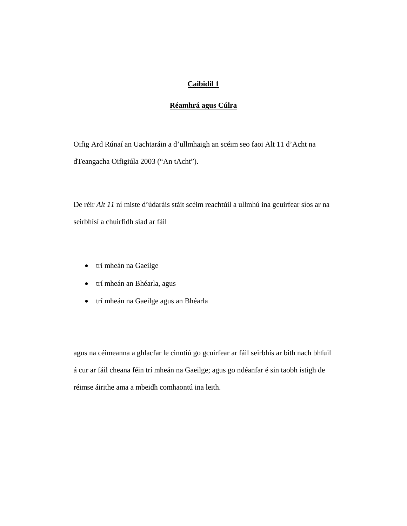#### **Réamhrá agus Cúlra**

Oifig Ard Rúnaí an Uachtaráin a d'ullmhaigh an scéim seo faoi Alt 11 d'Acht na dTeangacha Oifigiúla 2003 ("An tAcht").

De réir *Alt 11* ní miste d'údaráis stáit scéim reachtúil a ullmhú ina gcuirfear síos ar na seirbhísí a chuirfidh siad ar fáil

- trí mheán na Gaeilge
- trí mheán an Bhéarla, agus
- trí mheán na Gaeilge agus an Bhéarla

agus na céimeanna a ghlacfar le cinntiú go gcuirfear ar fáil seirbhís ar bith nach bhfuil á cur ar fáil cheana féin trí mheán na Gaeilge; agus go ndéanfar é sin taobh istigh de réimse áirithe ama a mbeidh comhaontú ina leith.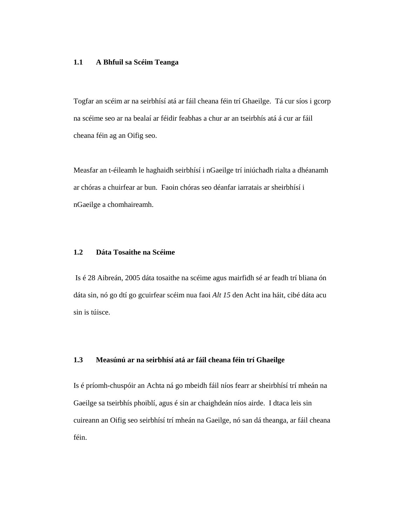#### **1.1 A Bhfuil sa Scéim Teanga**

Togfar an scéim ar na seirbhísí atá ar fáil cheana féin trí Ghaeilge. Tá cur síos i gcorp na scéime seo ar na bealaí ar féidir feabhas a chur ar an tseirbhís atá á cur ar fáil cheana féin ag an Oifig seo.

Measfar an t-éileamh le haghaidh seirbhísí i nGaeilge trí iniúchadh rialta a dhéanamh ar chóras a chuirfear ar bun. Faoin chóras seo déanfar iarratais ar sheirbhísí i nGaeilge a chomhaireamh.

#### **1.2 Dáta Tosaithe na Scéime**

 Is é 28 Aibreán, 2005 dáta tosaithe na scéime agus mairfidh sé ar feadh trí bliana ón dáta sin, nó go dtí go gcuirfear scéim nua faoi *Alt 15* den Acht ina háit, cibé dáta acu sin is túisce.

#### **1.3 Measúnú ar na seirbhísí atá ar fáil cheana féin trí Ghaeilge**

Is é príomh-chuspóir an Achta ná go mbeidh fáil níos fearr ar sheirbhísí trí mheán na Gaeilge sa tseirbhís phoiblí, agus é sin ar chaighdeán níos airde. I dtaca leis sin cuireann an Oifig seo seirbhísí trí mheán na Gaeilge, nó san dá theanga, ar fáil cheana féin.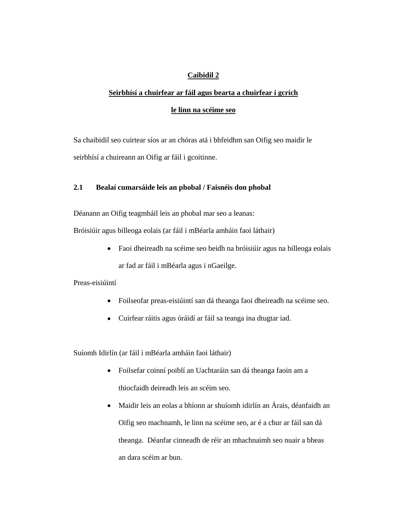### **Seirbhísí a chuirfear ar fáil agus bearta a chuirfear i gcrích**

#### **le linn na scéime seo**

Sa chaibidil seo cuirtear síos ar an chóras atá i bhfeidhm san Oifig seo maidir le seirbhísí a chuireann an Oifig ar fáil i gcoitinne.

## **2.1 Bealaí cumarsáide leis an phobal / Faisnéis don phobal**

Déanann an Oifig teagmháil leis an phobal mar seo a leanas:

Bróisiúir agus billeoga eolais (ar fáil i mBéarla amháin faoi láthair)

• Faoi dheireadh na scéime seo beidh na bróisiúir agus na billeoga eolais

ar fad ar fáil i mBéarla agus i nGaeilge.

Preas-eisiúintí

- Foilseofar preas-eisiúintí san dá theanga faoi dheireadh na scéime seo.
- Cuirfear ráitis agus óráidí ar fáil sa teanga ina dtugtar iad.

Suíomh Idirlín (ar fáil i mBéarla amháin faoi láthair)

- Foilsefar coinní poiblí an Uachtaráin san dá theanga faoin am a thiocfaidh deireadh leis an scéim seo.
- Maidir leis an eolas a bhíonn ar shuíomh idirlín an Árais, déanfaidh an Oifig seo machnamh, le linn na scéime seo, ar é a chur ar fáil san dá theanga. Déanfar cinneadh de réir an mhachnaimh seo nuair a bheas an dara scéim ar bun.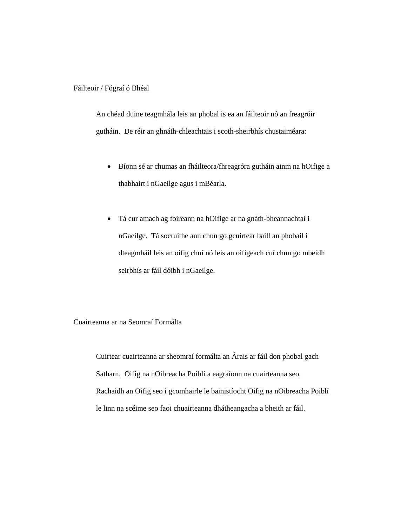Fáilteoir / Fógraí ó Bhéal

An chéad duine teagmhála leis an phobal is ea an fáilteoir nó an freagróir gutháin. De réir an ghnáth-chleachtais i scoth-sheirbhís chustaiméara:

- Bíonn sé ar chumas an fháilteora/fhreagróra gutháin ainm na hOifige a thabhairt i nGaeilge agus i mBéarla.
- Tá cur amach ag foireann na hOifige ar na gnáth-bheannachtaí i nGaeilge. Tá socruithe ann chun go gcuirtear baill an phobail i dteagmháil leis an oifig chuí nó leis an oifigeach cuí chun go mbeidh seirbhís ar fáil dóibh i nGaeilge.

Cuairteanna ar na Seomraí Formálta

Cuirtear cuairteanna ar sheomraí formálta an Árais ar fáil don phobal gach Satharn. Oifig na nOibreacha Poiblí a eagraíonn na cuairteanna seo. Rachaidh an Oifig seo i gcomhairle le bainistíocht Oifig na nOibreacha Poiblí le linn na scéime seo faoi chuairteanna dhátheangacha a bheith ar fáil.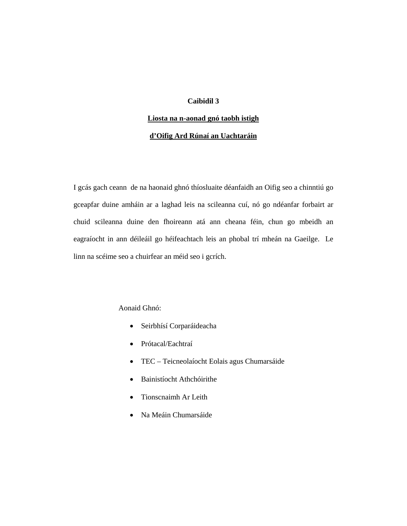#### **Liosta na n-aonad gnó taobh istigh**

#### **d'Oifig Ard Rúnaí an Uachtaráin**

I gcás gach ceann de na haonaid ghnó thíosluaite déanfaidh an Oifig seo a chinntiú go gceapfar duine amháin ar a laghad leis na scileanna cuí, nó go ndéanfar forbairt ar chuid scileanna duine den fhoireann atá ann cheana féin, chun go mbeidh an eagraíocht in ann déileáil go héifeachtach leis an phobal trí mheán na Gaeilge. Le linn na scéime seo a chuirfear an méid seo i gcrích.

Aonaid Ghnó:

- Seirbhísí Corparáideacha
- Prótacal/Eachtraí
- TEC Teicneolaíocht Eolais agus Chumarsáide
- Bainistíocht Athchóirithe
- Tionscnaimh Ar Leith
- Na Meáin Chumarsáide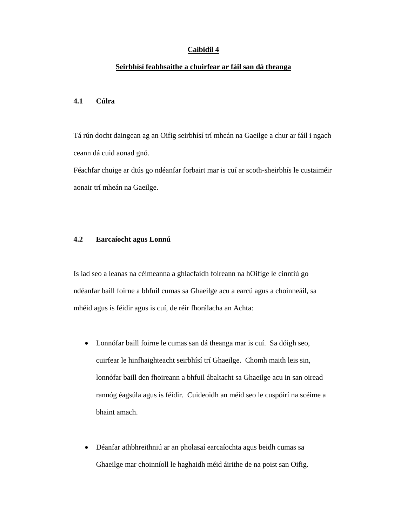#### **Seirbhísí feabhsaithe a chuirfear ar fáil san dá theanga**

#### **4.1 Cúlra**

Tá rún docht daingean ag an Oifig seirbhísí trí mheán na Gaeilge a chur ar fáil i ngach ceann dá cuid aonad gnó.

Féachfar chuige ar dtús go ndéanfar forbairt mar is cuí ar scoth-sheirbhís le custaiméir aonair trí mheán na Gaeilge.

#### **4.2 Earcaíocht agus Lonnú**

Is iad seo a leanas na céimeanna a ghlacfaidh foireann na hOifige le cinntiú go ndéanfar baill foirne a bhfuil cumas sa Ghaeilge acu a earcú agus a choinneáil, sa mhéid agus is féidir agus is cuí, de réir fhorálacha an Achta:

- Lonnófar baill foirne le cumas san dá theanga mar is cuí. Sa dóigh seo, cuirfear le hinfhaighteacht seirbhísí trí Ghaeilge. Chomh maith leis sin, lonnófar baill den fhoireann a bhfuil ábaltacht sa Ghaeilge acu in san oiread rannóg éagsúla agus is féidir. Cuideoidh an méid seo le cuspóirí na scéime a bhaint amach.
- Déanfar athbhreithniú ar an pholasaí earcaíochta agus beidh cumas sa Ghaeilge mar choinníoll le haghaidh méid áirithe de na poist san Oifig.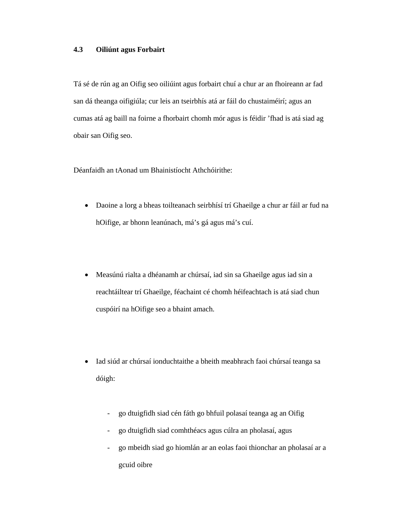#### **4.3 Oiliúnt agus Forbairt**

Tá sé de rún ag an Oifig seo oiliúint agus forbairt chuí a chur ar an fhoireann ar fad san dá theanga oifigiúla; cur leis an tseirbhís atá ar fáil do chustaiméirí; agus an cumas atá ag baill na foirne a fhorbairt chomh mór agus is féidir 'fhad is atá siad ag obair san Oifig seo.

Déanfaidh an tAonad um Bhainistíocht Athchóirithe:

- Daoine a lorg a bheas toilteanach seirbhísí trí Ghaeilge a chur ar fáil ar fud na hOifige, ar bhonn leanúnach, má's gá agus má's cuí.
- Measúnú rialta a dhéanamh ar chúrsaí, iad sin sa Ghaeilge agus iad sin a reachtáiltear trí Ghaeilge, féachaint cé chomh héifeachtach is atá siad chun cuspóirí na hOifige seo a bhaint amach.
- Iad siúd ar chúrsaí ionduchtaithe a bheith meabhrach faoi chúrsaí teanga sa dóigh:
	- go dtuigfidh siad cén fáth go bhfuil polasaí teanga ag an Oifig
	- go dtuigfidh siad comhthéacs agus cúlra an pholasaí, agus
	- go mbeidh siad go hiomlán ar an eolas faoi thionchar an pholasaí ar a gcuid oibre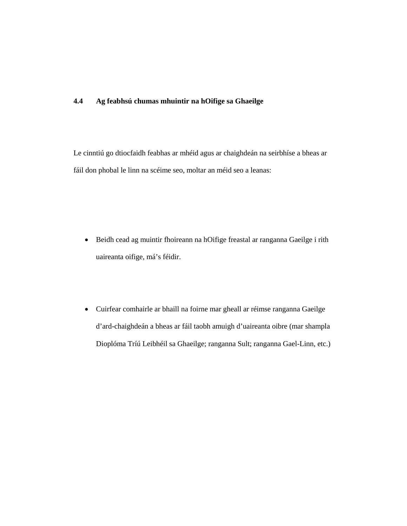## **4.4 Ag feabhsú chumas mhuintir na hOifige sa Ghaeilge**

Le cinntiú go dtiocfaidh feabhas ar mhéid agus ar chaighdeán na seirbhíse a bheas ar fáil don phobal le linn na scéime seo, moltar an méid seo a leanas:

- Beidh cead ag muintir fhoireann na hOifige freastal ar ranganna Gaeilge i rith uaireanta oifige, má's féidir.
- Cuirfear comhairle ar bhaill na foirne mar gheall ar réimse ranganna Gaeilge d'ard-chaighdeán a bheas ar fáil taobh amuigh d'uaireanta oibre (mar shampla Dioplóma Tríú Leibhéil sa Ghaeilge; ranganna Sult; ranganna Gael-Linn, etc.)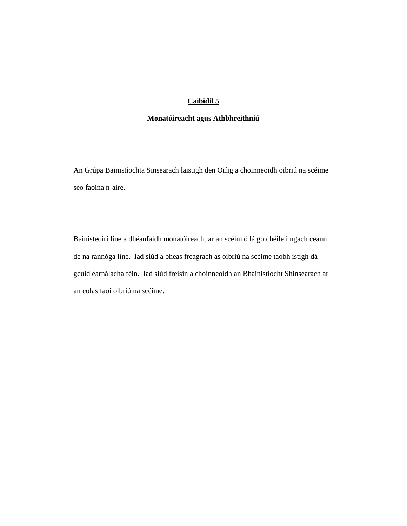# **Monatóireacht agus Athbhreithniú**

An Grúpa Bainistíochta Sinsearach laistigh den Oifig a choinneoidh oibriú na scéime seo faoina n-aire.

Bainisteoirí líne a dhéanfaidh monatóireacht ar an scéim ó lá go chéile i ngach ceann de na rannóga líne. Iad siúd a bheas freagrach as oibriú na scéime taobh istigh dá gcuid earnálacha féin. Iad siúd freisin a choinneoidh an Bhainistíocht Shinsearach ar an eolas faoi oibriú na scéime.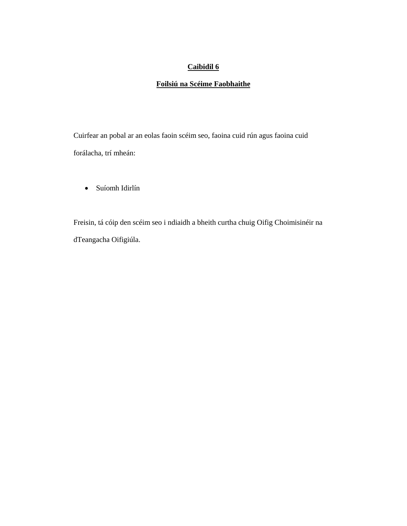# **Foilsiú na Scéime Faobhaithe**

Cuirfear an pobal ar an eolas faoin scéim seo, faoina cuid rún agus faoina cuid forálacha, trí mheán:

• Suíomh Idirlín

Freisin, tá cóip den scéim seo i ndiaidh a bheith curtha chuig Oifig Choimisinéir na dTeangacha Oifigiúla.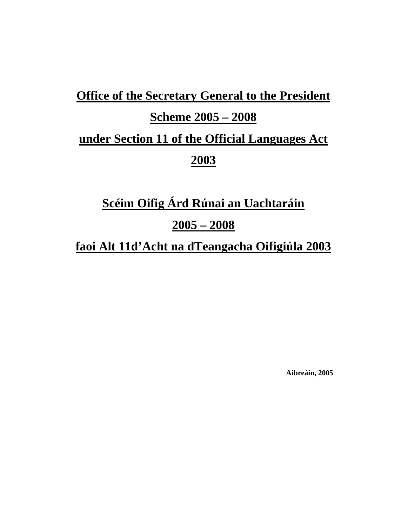# **Office of the Secretary General to the President Scheme 2005 – 2008 under Section 11 of the Official Languages Act 2003**

**Scéim Oifig Árd Rúnai an Uachtaráin** 

# **2005 – 2008**

# **faoi Alt 11d'Acht na dTeangacha Oifigiúla 2003**

**Aibreáin, 2005**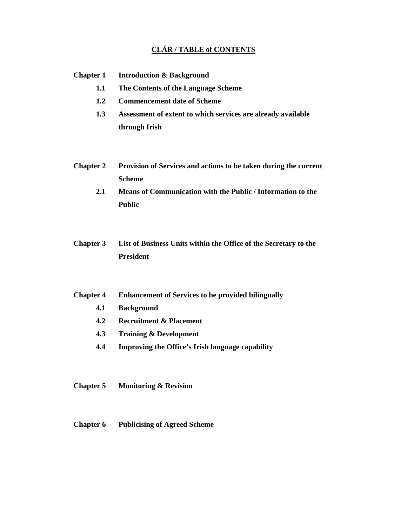# **CLÁR / TABLE of CONTENTS**

#### **Chapter 1 Introduction & Background**

- **1.1 The Contents of the Language Scheme**
- **1.2 Commencement date of Scheme**
- **1.3 Assessment of extent to which services are already available through Irish**
- **Chapter 2 Provision of Services and actions to be taken during the current Scheme** 
	- **2.1 Means of Communication with the Public / Information to the Public**
- **Chapter 3 List of Business Units within the Office of the Secretary to the President**

#### **Chapter 4 Enhancement of Services to be provided bilingually**

- **4.1 Background**
- **4.2 Recruitment & Placement**
- **4.3 Training & Development**
- **4.4 Improving the Office's Irish language capability**
- **Chapter 5 Monitoring & Revision**
- **Chapter 6 Publicising of Agreed Scheme**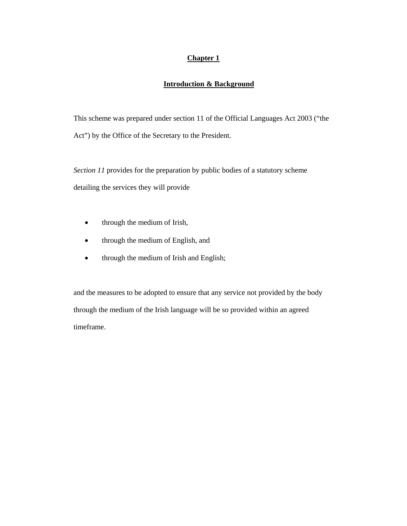## **Introduction & Background**

This scheme was prepared under section 11 of the Official Languages Act 2003 ("the Act") by the Office of the Secretary to the President.

*Section 11* provides for the preparation by public bodies of a statutory scheme detailing the services they will provide

- through the medium of Irish,
- through the medium of English, and
- through the medium of Irish and English;

and the measures to be adopted to ensure that any service not provided by the body through the medium of the Irish language will be so provided within an agreed timeframe.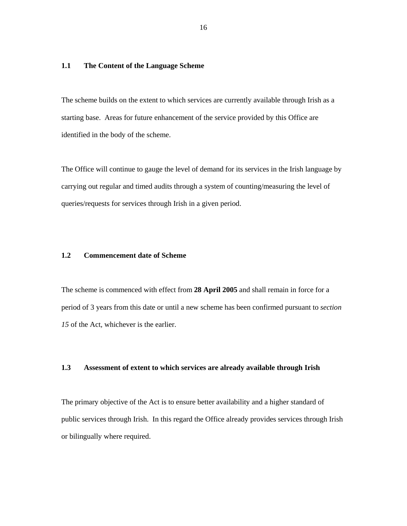#### **1.1 The Content of the Language Scheme**

The scheme builds on the extent to which services are currently available through Irish as a starting base. Areas for future enhancement of the service provided by this Office are identified in the body of the scheme.

The Office will continue to gauge the level of demand for its services in the Irish language by carrying out regular and timed audits through a system of counting/measuring the level of queries/requests for services through Irish in a given period.

#### **1.2 Commencement date of Scheme**

The scheme is commenced with effect from **28 April 2005** and shall remain in force for a period of 3 years from this date or until a new scheme has been confirmed pursuant to *section 15* of the Act*,* whichever is the earlier.

#### **1.3 Assessment of extent to which services are already available through Irish**

The primary objective of the Act is to ensure better availability and a higher standard of public services through Irish. In this regard the Office already provides services through Irish or bilingually where required.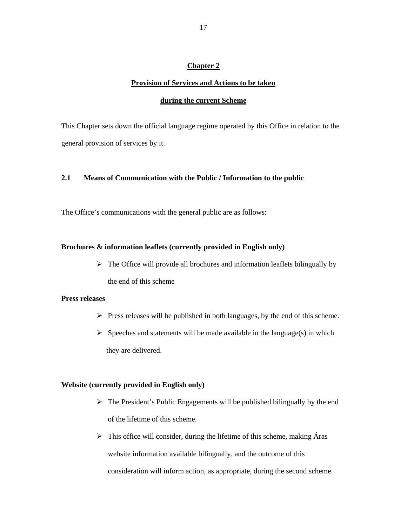#### **Provision of Services and Actions to be taken**

#### **during the current Scheme**

This Chapter sets down the official language regime operated by this Office in relation to the general provision of services by it.

#### **2.1 Means of Communication with the Public / Information to the public**

The Office's communications with the general public are as follows:

#### **Brochures & information leaflets (currently provided in English only)**

 $\triangleright$  The Office will provide all brochures and information leaflets bilingually by the end of this scheme

#### **Press releases**

- $\triangleright$  Press releases will be published in both languages, by the end of this scheme.
- $\triangleright$  Speeches and statements will be made available in the language(s) in which they are delivered.

#### **Website (currently provided in English only)**

- $\triangleright$  The President's Public Engagements will be published bilingually by the end of the lifetime of this scheme.
- $\triangleright$  This office will consider, during the lifetime of this scheme, making Áras website information available bilingually, and the outcome of this consideration will inform action, as appropriate, during the second scheme.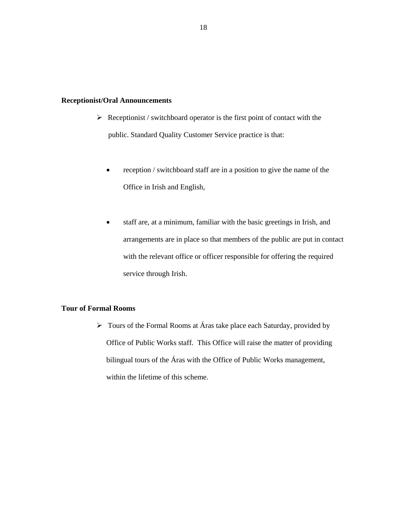#### **Receptionist/Oral Announcements**

- $\triangleright$  Receptionist / switchboard operator is the first point of contact with the public. Standard Quality Customer Service practice is that:
	- reception / switchboard staff are in a position to give the name of the Office in Irish and English,
	- staff are, at a minimum, familiar with the basic greetings in Irish, and arrangements are in place so that members of the public are put in contact with the relevant office or officer responsible for offering the required service through Irish.

## **Tour of Formal Rooms**

 $\triangleright$  Tours of the Formal Rooms at Áras take place each Saturday, provided by Office of Public Works staff. This Office will raise the matter of providing bilingual tours of the Áras with the Office of Public Works management, within the lifetime of this scheme.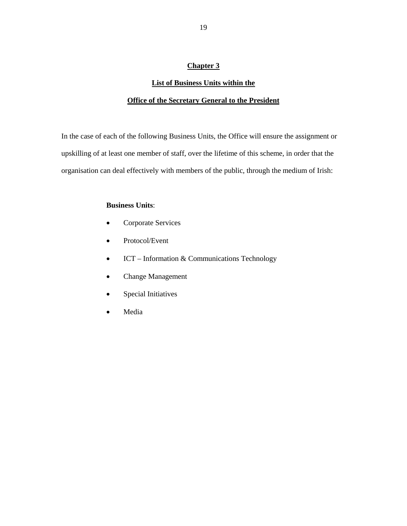#### **List of Business Units within the**

#### **Office of the Secretary General to the President**

In the case of each of the following Business Units, the Office will ensure the assignment or upskilling of at least one member of staff, over the lifetime of this scheme, in order that the organisation can deal effectively with members of the public, through the medium of Irish:

#### **Business Units**:

- Corporate Services
- Protocol/Event
- ICT Information & Communications Technology
- Change Management
- Special Initiatives
- Media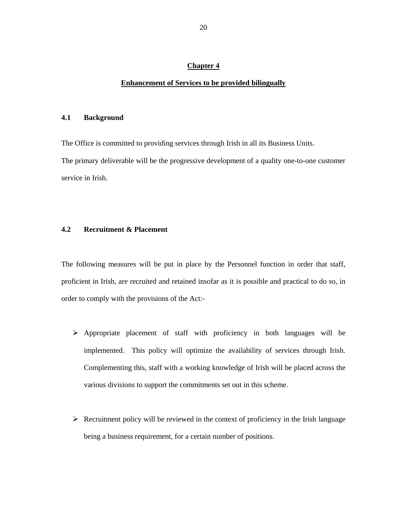#### **Enhancement of Services to be provided bilingually**

#### **4.1 Background**

The Office is committed to providing services through Irish in all its Business Units. The primary deliverable will be the progressive development of a quality one-to-one customer service in Irish.

#### **4.2 Recruitment & Placement**

The following measures will be put in place by the Personnel function in order that staff, proficient in Irish, are recruited and retained insofar as it is possible and practical to do so, in order to comply with the provisions of the Act:-

- ¾ Appropriate placement of staff with proficiency in both languages will be implemented. This policy will optimize the availability of services through Irish. Complementing this, staff with a working knowledge of Irish will be placed across the various divisions to support the commitments set out in this scheme.
- $\triangleright$  Recruitment policy will be reviewed in the context of proficiency in the Irish language being a business requirement, for a certain number of positions.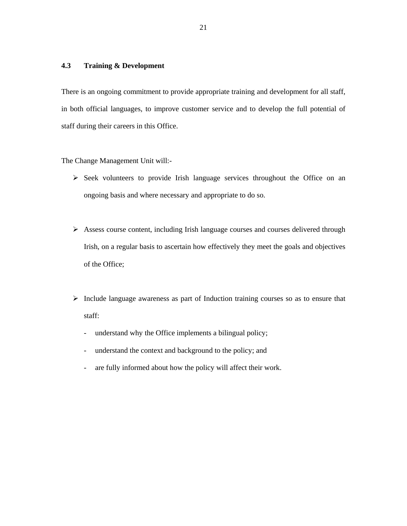### **4.3 Training & Development**

There is an ongoing commitment to provide appropriate training and development for all staff, in both official languages, to improve customer service and to develop the full potential of staff during their careers in this Office.

The Change Management Unit will:-

- $\triangleright$  Seek volunteers to provide Irish language services throughout the Office on an ongoing basis and where necessary and appropriate to do so.
- $\triangleright$  Assess course content, including Irish language courses and courses delivered through Irish, on a regular basis to ascertain how effectively they meet the goals and objectives of the Office;
- $\triangleright$  Include language awareness as part of Induction training courses so as to ensure that staff:
	- understand why the Office implements a bilingual policy;
	- understand the context and background to the policy; and
	- are fully informed about how the policy will affect their work.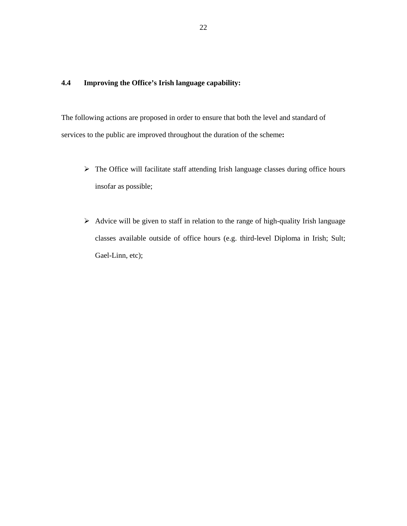#### **4.4 Improving the Office's Irish language capability:**

The following actions are proposed in order to ensure that both the level and standard of services to the public are improved throughout the duration of the scheme**:**

- $\triangleright$  The Office will facilitate staff attending Irish language classes during office hours insofar as possible;
- $\triangleright$  Advice will be given to staff in relation to the range of high-quality Irish language classes available outside of office hours (e.g. third-level Diploma in Irish; Sult; Gael-Linn, etc);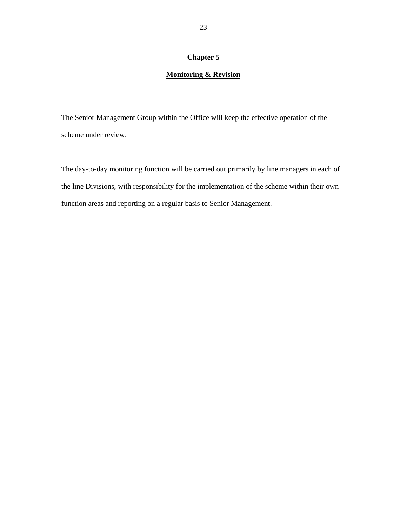## **Monitoring & Revision**

The Senior Management Group within the Office will keep the effective operation of the scheme under review.

The day-to-day monitoring function will be carried out primarily by line managers in each of the line Divisions, with responsibility for the implementation of the scheme within their own function areas and reporting on a regular basis to Senior Management.